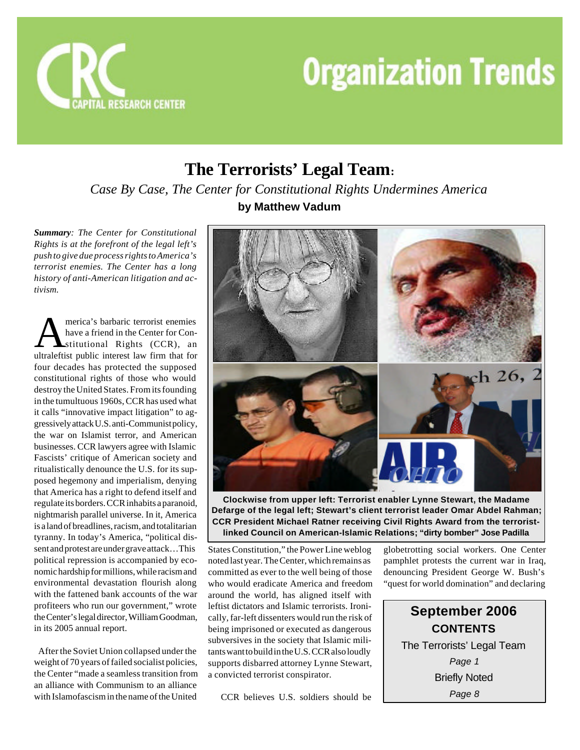



# **The Terrorists' Legal Team:** *Case By Case, The Center for Constitutional Rights Undermines America*

*Summary: The Center for Constitutional Rights is at the forefront of the legal left's push to give due process rights to America's terrorist enemies. The Center has a long history of anti-American litigation and activism.*

**AMERICA** merica's barbaric terrorist enemies<br>have a friend in the Center for Con-<br>ultraleftist public interest law firm that for merica's barbaric terrorist enemies have a friend in the Center for Constitutional Rights (CCR), an four decades has protected the supposed constitutional rights of those who would destroy the United States. From its founding in the tumultuous 1960s, CCR has used what it calls "innovative impact litigation" to aggressively attack U.S. anti-Communist policy, the war on Islamist terror, and American businesses. CCR lawyers agree with Islamic Fascists' critique of American society and ritualistically denounce the U.S. for its supposed hegemony and imperialism, denying that America has a right to defend itself and regulate its borders. CCR inhabits a paranoid, nightmarish parallel universe. In it, America is a land of breadlines, racism, and totalitarian tyranny. In today's America, "political dissent and protest are under grave attack…This political repression is accompanied by economic hardship for millions, while racism and environmental devastation flourish along with the fattened bank accounts of the war profiteers who run our government," wrote the Center's legal director, William Goodman, in its 2005 annual report.

 After the Soviet Union collapsed under the weight of 70 years of failed socialist policies, the Center "made a seamless transition from an alliance with Communism to an alliance with Islamofascism in the name of the United

**by Matthew Vadum**



**Clockwise from upper left: Terrorist enabler Lynne Stewart, the Madame Defarge of the legal left; Stewart's client terrorist leader Omar Abdel Rahman; CCR President Michael Ratner receiving Civil Rights Award from the terroristlinked Council on American-Islamic Relations; "dirty bomber" Jose Padilla**

States Constitution," the Power Line weblog noted last year. The Center, which remains as committed as ever to the well being of those who would eradicate America and freedom around the world, has aligned itself with leftist dictators and Islamic terrorists. Ironically, far-left dissenters would run the risk of being imprisoned or executed as dangerous subversives in the society that Islamic militants want to build in the U.S. CCR also loudly supports disbarred attorney Lynne Stewart, a convicted terrorist conspirator.

CCR believes U.S. soldiers should be

globetrotting social workers. One Center pamphlet protests the current war in Iraq, denouncing President George W. Bush's "quest for world domination" and declaring

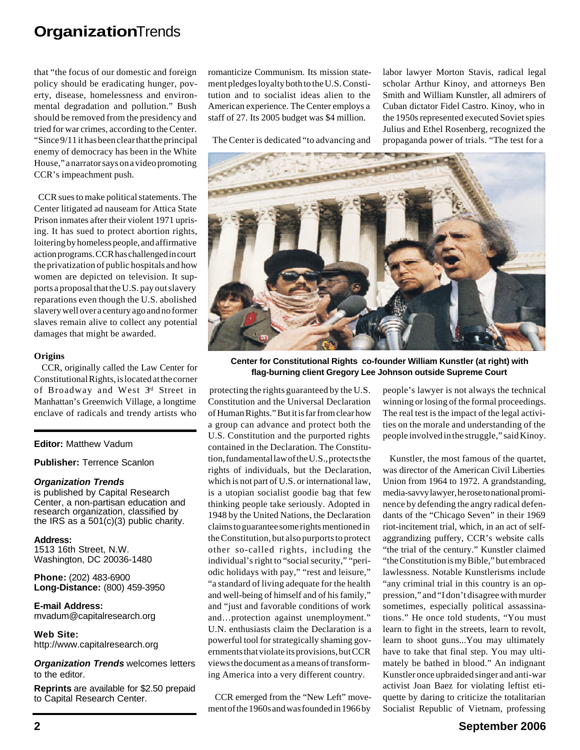that "the focus of our domestic and foreign policy should be eradicating hunger, poverty, disease, homelessness and environmental degradation and pollution." Bush should be removed from the presidency and tried for war crimes, according to the Center. "Since 9/11 it has been clear that the principal enemy of democracy has been in the White House," a narrator says on a video promoting CCR's impeachment push.

 CCR sues to make political statements. The Center litigated ad nauseam for Attica State Prison inmates after their violent 1971 uprising. It has sued to protect abortion rights, loitering by homeless people, and affirmative action programs. CCR has challenged in court the privatization of public hospitals and how women are depicted on television. It supports a proposal that the U.S. pay out slavery reparations even though the U.S. abolished slavery well over a century ago and no former slaves remain alive to collect any potential damages that might be awarded.

## **Origins**

 CCR, originally called the Law Center for Constitutional Rights, is located at the corner of Broadway and West 3<sup>d</sup> Street in Manhattan's Greenwich Village, a longtime enclave of radicals and trendy artists who

## **Editor:** Matthew Vadum

**Publisher:** Terrence Scanlon

## *Organization Trends*

is published by Capital Research Center, a non-partisan education and research organization, classified by the IRS as a 501(c)(3) public charity.

**Address:** 1513 16th Street, N.W. Washington, DC 20036-1480

**Phone:** (202) 483-6900 **Long-Distance:** (800) 459-3950

**E-mail Address:** mvadum@capitalresearch.org

**Web Site:** http://www.capitalresearch.org

*Organization Trends* welcomes letters to the editor.

**Reprints** are available for \$2.50 prepaid to Capital Research Center.

romanticize Communism. Its mission statement pledges loyalty both to the U.S. Constitution and to socialist ideas alien to the American experience. The Center employs a staff of 27. Its 2005 budget was \$4 million.

The Center is dedicated "to advancing and

labor lawyer Morton Stavis, radical legal scholar Arthur Kinoy, and attorneys Ben Smith and William Kunstler, all admirers of Cuban dictator Fidel Castro. Kinoy, who in the 1950s represented executed Soviet spies Julius and Ethel Rosenberg, recognized the propaganda power of trials. "The test for a



**Center for Constitutional Rights co-founder William Kunstler (at right) with flag-burning client Gregory Lee Johnson outside Supreme Court**

 protecting the rights guaranteed by the U.S. Constitution and the Universal Declaration of Human Rights." But it is far from clear how a group can advance and protect both the U.S. Constitution and the purported rights contained in the Declaration. The Constitution, fundamental law of the U.S., protects the rights of individuals, but the Declaration, which is not part of U.S. or international law, is a utopian socialist goodie bag that few thinking people take seriously. Adopted in 1948 by the United Nations, the Declaration claims to guarantee some rights mentioned in the Constitution, but also purports to protect other so-called rights, including the individual's right to "social security," "periodic holidays with pay," "rest and leisure," "a standard of living adequate for the health and well-being of himself and of his family," and "just and favorable conditions of work and…protection against unemployment." U.N. enthusiasts claim the Declaration is a powerful tool for strategically shaming governments that violate its provisions, but CCR views the document as a means of transforming America into a very different country.

 CCR emerged from the "New Left" movement of the 1960s and was founded in 1966 by

people's lawyer is not always the technical winning or losing of the formal proceedings. The real test is the impact of the legal activities on the morale and understanding of the people involved in the struggle," said Kinoy.

 Kunstler, the most famous of the quartet, was director of the American Civil Liberties Union from 1964 to 1972. A grandstanding, media-savvy lawyer, he rose to national prominence by defending the angry radical defendants of the "Chicago Seven" in their 1969 riot-incitement trial, which, in an act of selfaggrandizing puffery, CCR's website calls "the trial of the century." Kunstler claimed "the Constitution is my Bible," but embraced lawlessness. Notable Kunstlerisms include "any criminal trial in this country is an oppression," and "I don't disagree with murder sometimes, especially political assassinations." He once told students, "You must learn to fight in the streets, learn to revolt, learn to shoot guns...You may ultimately have to take that final step. You may ultimately be bathed in blood." An indignant Kunstler once upbraided singer and anti-war activist Joan Baez for violating leftist etiquette by daring to criticize the totalitarian Socialist Republic of Vietnam, professing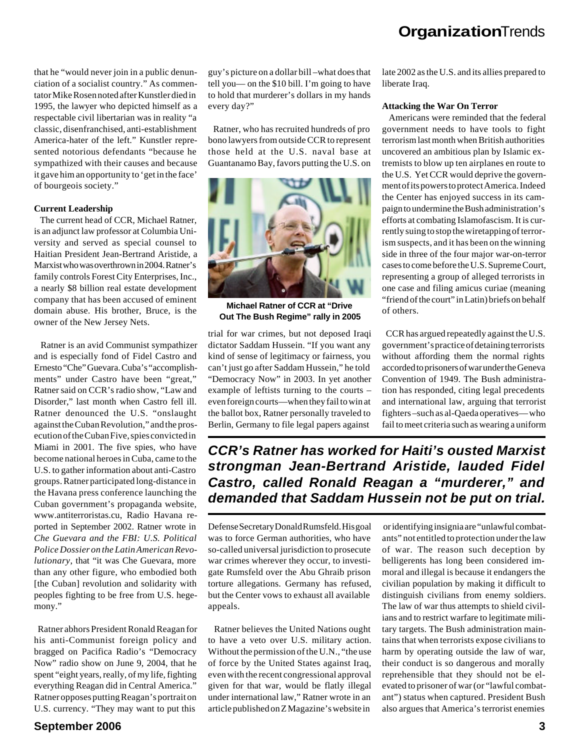that he "would never join in a public denunciation of a socialist country." As commentator Mike Rosen noted after Kunstler died in 1995, the lawyer who depicted himself as a respectable civil libertarian was in reality "a classic, disenfranchised, anti-establishment America-hater of the left." Kunstler represented notorious defendants "because he sympathized with their causes and because it gave him an opportunity to 'get in the face' of bourgeois society."

# **Current Leadership**

 The current head of CCR, Michael Ratner, is an adjunct law professor at Columbia University and served as special counsel to Haitian President Jean-Bertrand Aristide, a Marxist who was overthrown in 2004. Ratner's family controls Forest City Enterprises, Inc., a nearly \$8 billion real estate development company that has been accused of eminent domain abuse. His brother, Bruce, is the owner of the New Jersey Nets.

 Ratner is an avid Communist sympathizer and is especially fond of Fidel Castro and Ernesto "Che" Guevara. Cuba's "accomplishments" under Castro have been "great," Ratner said on CCR's radio show, "Law and Disorder," last month when Castro fell ill. Ratner denounced the U.S. "onslaught against the Cuban Revolution," and the prosecution of the Cuban Five, spies convicted in Miami in 2001. The five spies, who have become national heroes in Cuba, came to the U.S. to gather information about anti-Castro groups. Ratner participated long-distance in the Havana press conference launching the Cuban government's propaganda website, www.antiterroristas.cu, Radio Havana reported in September 2002. Ratner wrote in *Che Guevara and the FBI: U.S. Political Police Dossier on the Latin American Revolutionary*, that "it was Che Guevara, more than any other figure, who embodied both [the Cuban] revolution and solidarity with peoples fighting to be free from U.S. hegemony."

 Ratner abhors President Ronald Reagan for his anti-Communist foreign policy and bragged on Pacifica Radio's "Democracy Now" radio show on June 9, 2004, that he spent "eight years, really, of my life, fighting everything Reagan did in Central America." Ratner opposes putting Reagan's portrait on U.S. currency. "They may want to put this

to hold that murderer's dollars in my hands every day?" Ratner, who has recruited hundreds of pro

bono lawyers from outside CCR to represent those held at the U.S. naval base at Guantanamo Bay, favors putting the U.S. on

guy's picture on a dollar bill –what does that tell you— on the \$10 bill. I'm going to have



**Michael Ratner of CCR at "Drive Out The Bush Regime" rally in 2005**

trial for war crimes, but not deposed Iraqi dictator Saddam Hussein. "If you want any kind of sense of legitimacy or fairness, you can't just go after Saddam Hussein," he told "Democracy Now" in 2003. In yet another example of leftists turning to the courts – even foreign courts—when they fail to win at the ballot box, Ratner personally traveled to Berlin, Germany to file legal papers against

late 2002 as the U.S. and its allies prepared to liberate Iraq.

## **Attacking the War On Terror**

 Americans were reminded that the federal government needs to have tools to fight terrorism last month when British authorities uncovered an ambitious plan by Islamic extremists to blow up ten airplanes en route to the U.S. Yet CCR would deprive the government of its powers to protect America. Indeed the Center has enjoyed success in its campaign to undermine the Bush administration's efforts at combating Islamofascism. It is currently suing to stop the wiretapping of terrorism suspects, and it has been on the winning side in three of the four major war-on-terror cases to come before the U.S. Supreme Court, representing a group of alleged terrorists in one case and filing amicus curiae (meaning "friend of the court" in Latin) briefs on behalf of others.

 CCR has argued repeatedly against the U.S. government's practice of detaining terrorists without affording them the normal rights accorded to prisoners of war under the Geneva Convention of 1949. The Bush administration has responded, citing legal precedents and international law, arguing that terrorist fighters –such as al-Qaeda operatives— who fail to meet criteria such as wearing a uniform

*CCR's Ratner has worked for Haiti's ousted Marxist strongman Jean-Bertrand Aristide, lauded Fidel Castro, called Ronald Reagan a "murderer," and demanded that Saddam Hussein not be put on trial.*

Defense Secretary Donald Rumsfeld. His goal was to force German authorities, who have so-called universal jurisdiction to prosecute war crimes wherever they occur, to investigate Rumsfeld over the Abu Ghraib prison torture allegations. Germany has refused, but the Center vows to exhaust all available appeals.

 Ratner believes the United Nations ought to have a veto over U.S. military action. Without the permission of the U.N., "the use of force by the United States against Iraq, even with the recent congressional approval given for that war, would be flatly illegal under international law," Ratner wrote in an article published on Z Magazine's website in

 or identifying insignia are "unlawful combatants" not entitled to protection under the law of war. The reason such deception by belligerents has long been considered immoral and illegal is because it endangers the civilian population by making it difficult to distinguish civilians from enemy soldiers. The law of war thus attempts to shield civilians and to restrict warfare to legitimate military targets. The Bush administration maintains that when terrorists expose civilians to harm by operating outside the law of war, their conduct is so dangerous and morally reprehensible that they should not be elevated to prisoner of war (or "lawful combatant") status when captured. President Bush also argues that America's terrorist enemies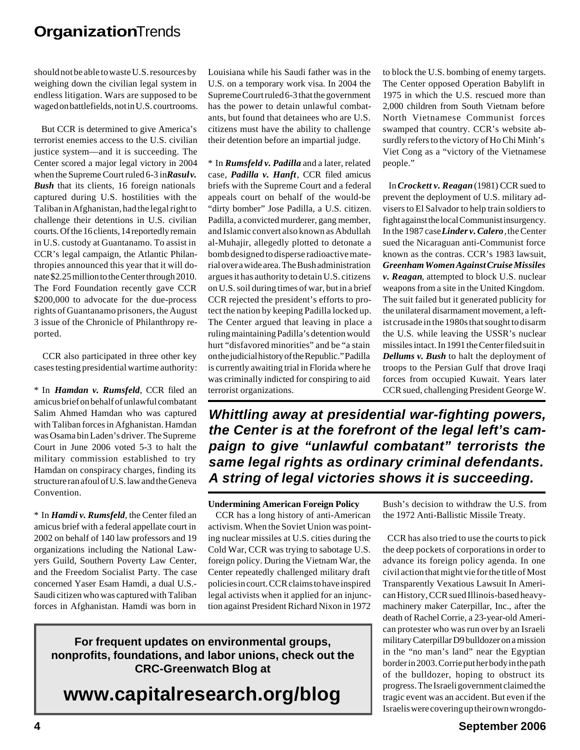should not be able to waste U.S. resources by weighing down the civilian legal system in endless litigation. Wars are supposed to be waged on battlefields, not in U.S. courtrooms.

 But CCR is determined to give America's terrorist enemies access to the U.S. civilian justice system—and it is succeeding. The Center scored a major legal victory in 2004 when the Supreme Court ruled 6-3 in **Rasul v.** *Bush* that its clients, 16 foreign nationals captured during U.S. hostilities with the Taliban in Afghanistan, had the legal right to challenge their detentions in U.S. civilian courts. Of the 16 clients, 14 reportedly remain in U.S. custody at Guantanamo. To assist in CCR's legal campaign, the Atlantic Philanthropies announced this year that it will donate \$2.25 million to the Center through 2010. The Ford Foundation recently gave CCR \$200,000 to advocate for the due-process rights of Guantanamo prisoners, the August 3 issue of the Chronicle of Philanthropy reported.

 CCR also participated in three other key cases testing presidential wartime authority:

\* In *Hamdan v. Rumsfeld*, CCR filed an amicus brief on behalf of unlawful combatant Salim Ahmed Hamdan who was captured with Taliban forces in Afghanistan. Hamdan was Osama bin Laden's driver. The Supreme Court in June 2006 voted 5-3 to halt the military commission established to try Hamdan on conspiracy charges, finding its structure ran afoul of U.S. law and the Geneva Convention.

\* In *Hamdi v. Rumsfeld*, the Center filed an amicus brief with a federal appellate court in 2002 on behalf of 140 law professors and 19 organizations including the National Lawyers Guild, Southern Poverty Law Center, and the Freedom Socialist Party. The case concerned Yaser Esam Hamdi, a dual U.S.- Saudi citizen who was captured with Taliban forces in Afghanistan. Hamdi was born in

Louisiana while his Saudi father was in the U.S. on a temporary work visa. In 2004 the Supreme Court ruled 6-3 that the government has the power to detain unlawful combatants, but found that detainees who are U.S. citizens must have the ability to challenge their detention before an impartial judge.

\* In *Rumsfeld v. Padilla* and a later, related case, *Padilla v. Hanft*, CCR filed amicus briefs with the Supreme Court and a federal appeals court on behalf of the would-be "dirty bomber" Jose Padilla, a U.S. citizen. Padilla, a convicted murderer, gang member, and Islamic convert also known as Abdullah al-Muhajir, allegedly plotted to detonate a bomb designed to disperse radioactive material over a wide area. The Bush administration argues it has authority to detain U.S. citizens on U.S. soil during times of war, but in a brief CCR rejected the president's efforts to protect the nation by keeping Padilla locked up. The Center argued that leaving in place a ruling maintaining Padilla's detention would hurt "disfavored minorities" and be "a stain on the judicial history of the Republic." Padilla is currently awaiting trial in Florida where he was criminally indicted for conspiring to aid terrorist organizations.

to block the U.S. bombing of enemy targets. The Center opposed Operation Babylift in 1975 in which the U.S. rescued more than 2,000 children from South Vietnam before North Vietnamese Communist forces swamped that country. CCR's website absurdly refers to the victory of Ho Chi Minh's Viet Cong as a "victory of the Vietnamese people."

 In *Crockett v. Reagan* (1981) CCR sued to prevent the deployment of U.S. military advisers to El Salvador to help train soldiers to fight against the local Communist insurgency. In the 1987 case *Linder v. Calero,* the Center sued the Nicaraguan anti-Communist force known as the contras. CCR's 1983 lawsuit, *Greenham Women Against Cruise Missiles v. Reagan*, attempted to block U.S. nuclear weapons from a site in the United Kingdom. The suit failed but it generated publicity for the unilateral disarmament movement, a leftist crusade in the 1980s that sought to disarm the U.S. while leaving the USSR's nuclear missiles intact. In 1991 the Center filed suit in *Dellums v. Bush* to halt the deployment of troops to the Persian Gulf that drove Iraqi forces from occupied Kuwait. Years later CCR sued, challenging President George W.

*Whittling away at presidential war-fighting powers, the Center is at the forefront of the legal left's campaign to give "unlawful combatant" terrorists the same legal rights as ordinary criminal defendants. A string of legal victories shows it is succeeding.*

## **Undermining American Foreign Policy**

 CCR has a long history of anti-American activism. When the Soviet Union was pointing nuclear missiles at U.S. cities during the Cold War, CCR was trying to sabotage U.S. foreign policy. During the Vietnam War, the Center repeatedly challenged military draft policies in court. CCR claims to have inspired legal activists when it applied for an injunction against President Richard Nixon in 1972

Bush's decision to withdraw the U.S. from the 1972 Anti-Ballistic Missile Treaty.

 CCR has also tried to use the courts to pick the deep pockets of corporations in order to advance its foreign policy agenda. In one civil action that might vie for the title of Most Transparently Vexatious Lawsuit In American History, CCR sued Illinois-based heavymachinery maker Caterpillar, Inc., after the death of Rachel Corrie, a 23-year-old American protester who was run over by an Israeli military Caterpillar D9 bulldozer on a mission in the "no man's land" near the Egyptian border in 2003. Corrie put her body in the path of the bulldozer, hoping to obstruct its progress. The Israeli government claimed the tragic event was an accident. But even if the Israelis were covering up their own wrongdo-

# **For frequent updates on environmental groups, nonprofits, foundations, and labor unions, check out the CRC-Greenwatch Blog at**

**www.capitalresearch.org/blog**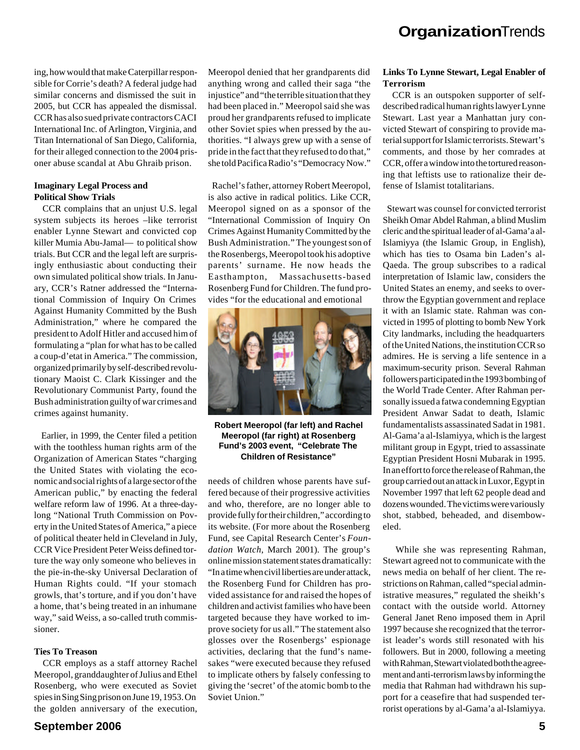ing, how would that make Caterpillar responsible for Corrie's death? A federal judge had similar concerns and dismissed the suit in 2005, but CCR has appealed the dismissal. CCR has also sued private contractors CACI International Inc. of Arlington, Virginia, and Titan International of San Diego, California, for their alleged connection to the 2004 prisoner abuse scandal at Abu Ghraib prison.

# **Imaginary Legal Process and Political Show Trials**

 CCR complains that an unjust U.S. legal system subjects its heroes –like terrorist enabler Lynne Stewart and convicted cop killer Mumia Abu-Jamal— to political show trials. But CCR and the legal left are surprisingly enthusiastic about conducting their own simulated political show trials. In January, CCR's Ratner addressed the "International Commission of Inquiry On Crimes Against Humanity Committed by the Bush Administration," where he compared the president to Adolf Hitler and accused him of formulating a "plan for what has to be called a coup-d'etat in America." The commission, organized primarily by self-described revolutionary Maoist C. Clark Kissinger and the Revolutionary Communist Party, found the Bush administration guilty of war crimes and crimes against humanity.

 Earlier, in 1999, the Center filed a petition with the toothless human rights arm of the Organization of American States "charging the United States with violating the economic and social rights of a large sector of the American public," by enacting the federal welfare reform law of 1996. At a three-daylong "National Truth Commission on Poverty in the United States of America," a piece of political theater held in Cleveland in July, CCR Vice President Peter Weiss defined torture the way only someone who believes in the pie-in-the-sky Universal Declaration of Human Rights could. "If your stomach growls, that's torture, and if you don't have a home, that's being treated in an inhumane way," said Weiss, a so-called truth commissioner.

## **Ties To Treason**

 CCR employs as a staff attorney Rachel Meeropol, granddaughter of Julius and Ethel Rosenberg, who were executed as Soviet spies in Sing Sing prison on June 19, 1953. On the golden anniversary of the execution, Meeropol denied that her grandparents did anything wrong and called their saga "the injustice" and "the terrible situation that they had been placed in." Meeropol said she was proud her grandparents refused to implicate other Soviet spies when pressed by the authorities. "I always grew up with a sense of pride in the fact that they refused to do that," she told Pacifica Radio's "Democracy Now."

 Rachel's father, attorney Robert Meeropol, is also active in radical politics. Like CCR, Meeropol signed on as a sponsor of the "International Commission of Inquiry On Crimes Against Humanity Committed by the Bush Administration." The youngest son of the Rosenbergs, Meeropol took his adoptive parents' surname. He now heads the Easthampton, Massachusetts-based Rosenberg Fund for Children. The fund provides "for the educational and emotional



**Robert Meeropol (far left) and Rachel Meeropol (far right) at Rosenberg Fund's 2003 event, "Celebrate The Children of Resistance"**

needs of children whose parents have suffered because of their progressive activities and who, therefore, are no longer able to provide fully for their children," according to its website. (For more about the Rosenberg Fund, see Capital Research Center's *Foundation Watch*, March 2001). The group's online mission statement states dramatically: "In a time when civil liberties are under attack, the Rosenberg Fund for Children has provided assistance for and raised the hopes of children and activist families who have been targeted because they have worked to improve society for us all." The statement also glosses over the Rosenbergs' espionage activities, declaring that the fund's namesakes "were executed because they refused to implicate others by falsely confessing to giving the 'secret' of the atomic bomb to the Soviet Union."

## **Links To Lynne Stewart, Legal Enabler of Terrorism**

 CCR is an outspoken supporter of selfdescribed radical human rights lawyer Lynne Stewart. Last year a Manhattan jury convicted Stewart of conspiring to provide material support for Islamic terrorists. Stewart's comments, and those by her comrades at CCR, offer a window into the tortured reasoning that leftists use to rationalize their defense of Islamist totalitarians.

 Stewart was counsel for convicted terrorist Sheikh Omar Abdel Rahman, a blind Muslim cleric and the spiritual leader of al-Gama'a al-Islamiyya (the Islamic Group, in English), which has ties to Osama bin Laden's al-Qaeda. The group subscribes to a radical interpretation of Islamic law, considers the United States an enemy, and seeks to overthrow the Egyptian government and replace it with an Islamic state. Rahman was convicted in 1995 of plotting to bomb New York City landmarks, including the headquarters of the United Nations, the institution CCR so admires. He is serving a life sentence in a maximum-security prison. Several Rahman followers participated in the 1993 bombing of the World Trade Center. After Rahman personally issued a fatwa condemning Egyptian President Anwar Sadat to death, Islamic fundamentalists assassinated Sadat in 1981. Al-Gama'a al-Islamiyya, which is the largest militant group in Egypt, tried to assassinate Egyptian President Hosni Mubarak in 1995. In an effort to force the release of Rahman, the group carried out an attack in Luxor, Egypt in November 1997 that left 62 people dead and dozens wounded. The victims were variously shot, stabbed, beheaded, and disemboweled.

 While she was representing Rahman, Stewart agreed not to communicate with the news media on behalf of her client. The restrictions on Rahman, called "special administrative measures," regulated the sheikh's contact with the outside world. Attorney General Janet Reno imposed them in April 1997 because she recognized that the terrorist leader's words still resonated with his followers. But in 2000, following a meeting with Rahman, Stewart violated both the agreement and anti-terrorism laws by informing the media that Rahman had withdrawn his support for a ceasefire that had suspended terrorist operations by al-Gama'a al-Islamiyya.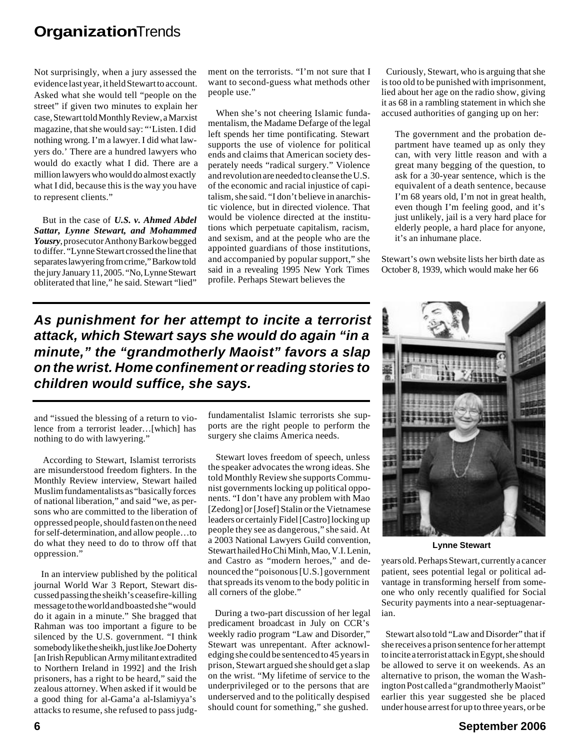Not surprisingly, when a jury assessed the evidence last year, it held Stewart to account. Asked what she would tell "people on the street" if given two minutes to explain her case, Stewart told Monthly Review, a Marxist magazine, that she would say: "'Listen. I did nothing wrong. I'm a lawyer. I did what lawyers do.' There are a hundred lawyers who would do exactly what I did. There are a million lawyers who would do almost exactly what I did, because this is the way you have to represent clients."

 But in the case of *U.S. v. Ahmed Abdel Sattar, Lynne Stewart, and Mohammed Yousry*, prosecutor Anthony Barkow begged to differ. "Lynne Stewart crossed the line that separates lawyering from crime," Barkow told the jury January 11, 2005. "No, Lynne Stewart obliterated that line," he said. Stewart "lied"

ment on the terrorists. "I'm not sure that I want to second-guess what methods other people use."

 When she's not cheering Islamic fundamentalism, the Madame Defarge of the legal left spends her time pontificating. Stewart supports the use of violence for political ends and claims that American society desperately needs "radical surgery." Violence and revolution are needed to cleanse the U.S. of the economic and racial injustice of capitalism, she said. "I don't believe in anarchistic violence, but in directed violence. That would be violence directed at the institutions which perpetuate capitalism, racism, and sexism, and at the people who are the appointed guardians of those institutions, and accompanied by popular support," she said in a revealing 1995 New York Times profile. Perhaps Stewart believes the

*As punishment for her attempt to incite a terrorist attack, which Stewart says she would do again "in a minute," the "grandmotherly Maoist" favors a slap on the wrist. Home confinement or reading stories to children would suffice, she says.*

and "issued the blessing of a return to violence from a terrorist leader…[which] has nothing to do with lawyering."

 According to Stewart, Islamist terrorists are misunderstood freedom fighters. In the Monthly Review interview, Stewart hailed Muslim fundamentalists as "basically forces of national liberation," and said "we, as persons who are committed to the liberation of oppressed people, should fasten on the need for self-determination, and allow people…to do what they need to do to throw off that oppression."

 In an interview published by the political journal World War 3 Report, Stewart discussed passing the sheikh's ceasefire-killing message to the world and boasted she "would do it again in a minute." She bragged that Rahman was too important a figure to be silenced by the U.S. government. "I think somebody like the sheikh, just like Joe Doherty [an Irish Republican Army militant extradited to Northern Ireland in 1992] and the Irish prisoners, has a right to be heard," said the zealous attorney. When asked if it would be a good thing for al-Gama'a al-Islamiyya's attacks to resume, she refused to pass judgfundamentalist Islamic terrorists she supports are the right people to perform the surgery she claims America needs.

 Stewart loves freedom of speech, unless the speaker advocates the wrong ideas. She told Monthly Review she supports Communist governments locking up political opponents. "I don't have any problem with Mao [Zedong] or [Josef] Stalin or the Vietnamese leaders or certainly Fidel [Castro] locking up people they see as dangerous," she said. At a 2003 National Lawyers Guild convention, Stewart hailed Ho Chi Minh, Mao, V.I. Lenin, and Castro as "modern heroes," and denounced the "poisonous [U.S.] government that spreads its venom to the body politic in all corners of the globe."

 During a two-part discussion of her legal predicament broadcast in July on CCR's weekly radio program "Law and Disorder," Stewart was unrepentant. After acknowledging she could be sentenced to 45 years in prison, Stewart argued she should get a slap on the wrist. "My lifetime of service to the underprivileged or to the persons that are underserved and to the politically despised should count for something," she gushed.

 Curiously, Stewart, who is arguing that she is too old to be punished with imprisonment, lied about her age on the radio show, giving it as 68 in a rambling statement in which she accused authorities of ganging up on her:

The government and the probation department have teamed up as only they can, with very little reason and with a great many begging of the question, to ask for a 30-year sentence, which is the equivalent of a death sentence, because I'm 68 years old, I'm not in great health, even though I'm feeling good, and it's just unlikely, jail is a very hard place for elderly people, a hard place for anyone, it's an inhumane place.

Stewart's own website lists her birth date as October 8, 1939, which would make her 66



**Lynne Stewart**

years old. Perhaps Stewart, currently a cancer patient, sees potential legal or political advantage in transforming herself from someone who only recently qualified for Social Security payments into a near-septuagenarian.

 Stewart also told "Law and Disorder" that if she receives a prison sentence for her attempt to incite a terrorist attack in Egypt, she should be allowed to serve it on weekends. As an alternative to prison, the woman the Washington Post called a "grandmotherly Maoist" earlier this year suggested she be placed under house arrest for up to three years, or be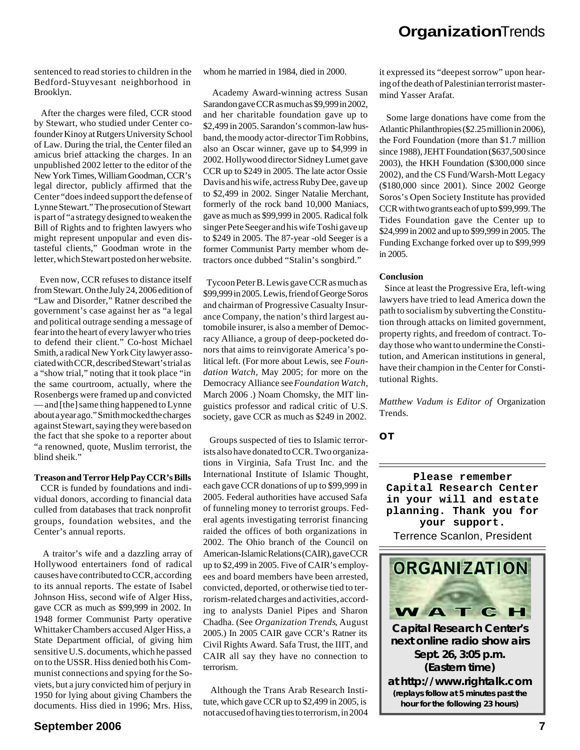sentenced to read stories to children in the Bedford-Stuyvesant neighborhood in Brooklyn.

 After the charges were filed, CCR stood by Stewart, who studied under Center cofounder Kinoy at Rutgers University School of Law. During the trial, the Center filed an amicus brief attacking the charges. In an unpublished 2002 letter to the editor of the New York Times, William Goodman, CCR's legal director, publicly affirmed that the Center "does indeed support the defense of Lynne Stewart." The prosecution of Stewart is part of "a strategy designed to weaken the Bill of Rights and to frighten lawyers who might represent unpopular and even distasteful clients," Goodman wrote in the letter, which Stewart posted on her website.

 Even now, CCR refuses to distance itself from Stewart. On the July 24, 2006 edition of "Law and Disorder," Ratner described the government's case against her as "a legal and political outrage sending a message of fear into the heart of every lawyer who tries to defend their client." Co-host Michael Smith, a radical New York City lawyer associated with CCR, described Stewart's trial as a "show trial," noting that it took place "in the same courtroom, actually, where the Rosenbergs were framed up and convicted — and [the] same thing happened to Lynne about a year ago." Smith mocked the charges against Stewart, saying they were based on the fact that she spoke to a reporter about "a renowned, quote, Muslim terrorist, the blind sheik."

## **Treason and Terror Help Pay CCR's Bills**

 CCR is funded by foundations and individual donors, according to financial data culled from databases that track nonprofit groups, foundation websites, and the Center's annual reports.

 A traitor's wife and a dazzling array of Hollywood entertainers fond of radical causes have contributed to CCR, according to its annual reports. The estate of Isabel Johnson Hiss, second wife of Alger Hiss, gave CCR as much as \$99,999 in 2002. In 1948 former Communist Party operative Whittaker Chambers accused Alger Hiss, a State Department official, of giving him sensitive U.S. documents, which he passed on to the USSR. Hiss denied both his Communist connections and spying for the Soviets, but a jury convicted him of perjury in 1950 for lying about giving Chambers the documents. Hiss died in 1996; Mrs. Hiss,

whom he married in 1984, died in 2000.

 Academy Award-winning actress Susan Sarandon gave CCR as much as \$9,999 in 2002, and her charitable foundation gave up to \$2,499 in 2005. Sarandon's common-law husband, the moody actor-director Tim Robbins, also an Oscar winner, gave up to \$4,999 in 2002. Hollywood director Sidney Lumet gave CCR up to \$249 in 2005. The late actor Ossie Davis and his wife, actress Ruby Dee, gave up to \$2,499 in 2002. Singer Natalie Merchant, formerly of the rock band 10,000 Maniacs, gave as much as \$99,999 in 2005. Radical folk singer Pete Seeger and his wife Toshi gave up to \$249 in 2005. The 87-year -old Seeger is a former Communist Party member whom detractors once dubbed "Stalin's songbird."

 Tycoon Peter B. Lewis gave CCR as much as \$99,999 in 2005. Lewis, friend of George Soros and chairman of Progressive Casualty Insurance Company, the nation's third largest automobile insurer, is also a member of Democracy Alliance, a group of deep-pocketed donors that aims to reinvigorate America's political left. (For more about Lewis, see *Foundation Watch*, May 2005; for more on the Democracy Alliance see *Foundation Watch*, March 2006 .) Noam Chomsky, the MIT linguistics professor and radical critic of U.S. society, gave CCR as much as \$249 in 2002.

 Groups suspected of ties to Islamic terrorists also have donated to CCR. Two organizations in Virginia, Safa Trust Inc. and the International Institute of Islamic Thought, each gave CCR donations of up to \$99,999 in 2005. Federal authorities have accused Safa of funneling money to terrorist groups. Federal agents investigating terrorist financing raided the offices of both organizations in 2002. The Ohio branch of the Council on American-Islamic Relations (CAIR), gave CCR up to \$2,499 in 2005. Five of CAIR's employees and board members have been arrested, convicted, deported, or otherwise tied to terrorism-related charges and activities, according to analysts Daniel Pipes and Sharon Chadha. (See *Organization Trends*, August 2005.) In 2005 CAIR gave CCR's Ratner its Civil Rights Award. Safa Trust, the IIIT, and CAIR all say they have no connection to terrorism.

 Although the Trans Arab Research Institute, which gave CCR up to \$2,499 in 2005, is not accused of having ties to terrorism, in 2004 it expressed its "deepest sorrow" upon hearing of the death of Palestinian terrorist mastermind Yasser Arafat.

 Some large donations have come from the Atlantic Philanthropies (\$2.25 million in 2006), the Ford Foundation (more than \$1.7 million since 1988), JEHT Foundation (\$637,500 since 2003), the HKH Foundation (\$300,000 since 2002), and the CS Fund/Warsh-Mott Legacy (\$180,000 since 2001). Since 2002 George Soros's Open Society Institute has provided CCR with two grants each of up to \$99,999. The Tides Foundation gave the Center up to \$24,999 in 2002 and up to \$99,999 in 2005. The Funding Exchange forked over up to \$99,999 in 2005.

#### **Conclusion**

 Since at least the Progressive Era, left-wing lawyers have tried to lead America down the path to socialism by subverting the Constitution through attacks on limited government, property rights, and freedom of contract. Today those who want to undermine the Constitution, and American institutions in general, have their champion in the Center for Constitutional Rights.

*Matthew Vadum is Editor of* Organization Trends*.*

*OT*

**Please remember Capital Research Center in your will and estate planning. Thank you for your support.**

Terrence Scanlon, President



**Capital Research Center's next online radio show airs Sept. 26, 3:05 p.m. (Eastern time) at** *http://www.rightalk.com* **(replays follow at 5 minutes past the hour for the following 23 hours)**